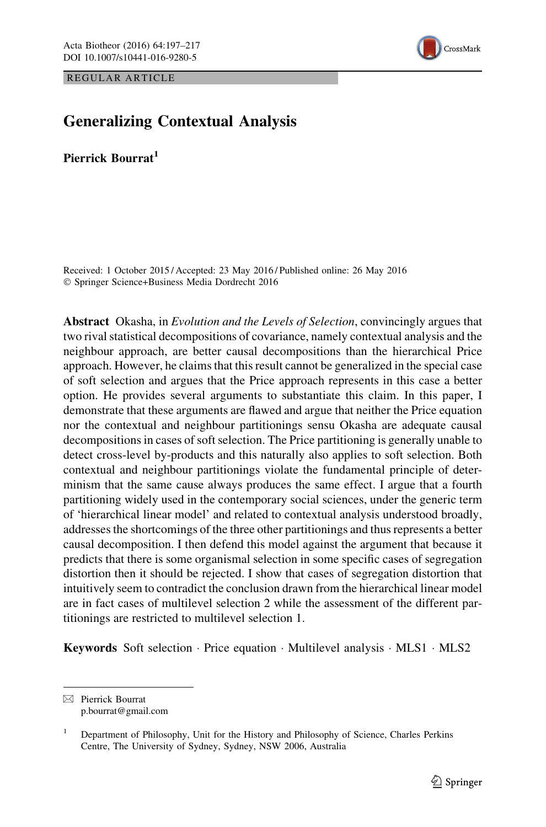#### REGULAR ARTICLE



# Generalizing Contextual Analysis

Pierrick Bourrat<sup>1</sup>

Received: 1 October 2015 / Accepted: 23 May 2016 / Published online: 26 May 2016 - Springer Science+Business Media Dordrecht 2016

Abstract Okasha, in *Evolution and the Levels of Selection*, convincingly argues that two rival statistical decompositions of covariance, namely contextual analysis and the neighbour approach, are better causal decompositions than the hierarchical Price approach. However, he claims that this result cannot be generalized in the special case of soft selection and argues that the Price approach represents in this case a better option. He provides several arguments to substantiate this claim. In this paper, I demonstrate that these arguments are flawed and argue that neither the Price equation nor the contextual and neighbour partitionings sensu Okasha are adequate causal decompositions in cases of soft selection. The Price partitioning is generally unable to detect cross-level by-products and this naturally also applies to soft selection. Both contextual and neighbour partitionings violate the fundamental principle of determinism that the same cause always produces the same effect. I argue that a fourth partitioning widely used in the contemporary social sciences, under the generic term of 'hierarchical linear model' and related to contextual analysis understood broadly, addresses the shortcomings of the three other partitionings and thus represents a better causal decomposition. I then defend this model against the argument that because it predicts that there is some organismal selection in some specific cases of segregation distortion then it should be rejected. I show that cases of segregation distortion that intuitively seem to contradict the conclusion drawn from the hierarchical linear model are in fact cases of multilevel selection 2 while the assessment of the different partitionings are restricted to multilevel selection 1.

Keywords Soft selection · Price equation · Multilevel analysis · MLS1 · MLS2

& Pierrick Bourrat p.bourrat@gmail.com

<sup>1</sup> Department of Philosophy, Unit for the History and Philosophy of Science, Charles Perkins Centre, The University of Sydney, Sydney, NSW 2006, Australia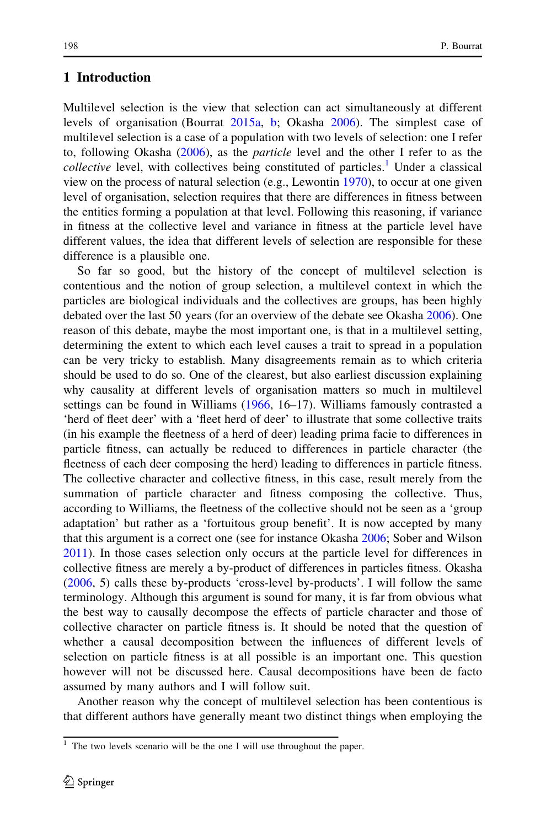# 1 Introduction

Multilevel selection is the view that selection can act simultaneously at different levels of organisation (Bourrat [2015a](#page-19-0), [b;](#page-19-0) Okasha [2006](#page-19-0)). The simplest case of multilevel selection is a case of a population with two levels of selection: one I refer to, following Okasha [\(2006](#page-19-0)), as the particle level and the other I refer to as the *collective* level, with collectives being constituted of particles.<sup>1</sup> Under a classical view on the process of natural selection (e.g., Lewontin [1970\)](#page-19-0), to occur at one given level of organisation, selection requires that there are differences in fitness between the entities forming a population at that level. Following this reasoning, if variance in fitness at the collective level and variance in fitness at the particle level have different values, the idea that different levels of selection are responsible for these difference is a plausible one.

So far so good, but the history of the concept of multilevel selection is contentious and the notion of group selection, a multilevel context in which the particles are biological individuals and the collectives are groups, has been highly debated over the last 50 years (for an overview of the debate see Okasha [2006](#page-19-0)). One reason of this debate, maybe the most important one, is that in a multilevel setting, determining the extent to which each level causes a trait to spread in a population can be very tricky to establish. Many disagreements remain as to which criteria should be used to do so. One of the clearest, but also earliest discussion explaining why causality at different levels of organisation matters so much in multilevel settings can be found in Williams ([1966,](#page-20-0) 16–17). Williams famously contrasted a 'herd of fleet deer' with a 'fleet herd of deer' to illustrate that some collective traits (in his example the fleetness of a herd of deer) leading prima facie to differences in particle fitness, can actually be reduced to differences in particle character (the fleetness of each deer composing the herd) leading to differences in particle fitness. The collective character and collective fitness, in this case, result merely from the summation of particle character and fitness composing the collective. Thus, according to Williams, the fleetness of the collective should not be seen as a 'group adaptation' but rather as a 'fortuitous group benefit'. It is now accepted by many that this argument is a correct one (see for instance Okasha [2006](#page-19-0); Sober and Wilson [2011\)](#page-20-0). In those cases selection only occurs at the particle level for differences in collective fitness are merely a by-product of differences in particles fitness. Okasha [\(2006](#page-19-0), 5) calls these by-products 'cross-level by-products'. I will follow the same terminology. Although this argument is sound for many, it is far from obvious what the best way to causally decompose the effects of particle character and those of collective character on particle fitness is. It should be noted that the question of whether a causal decomposition between the influences of different levels of selection on particle fitness is at all possible is an important one. This question however will not be discussed here. Causal decompositions have been de facto assumed by many authors and I will follow suit.

Another reason why the concept of multilevel selection has been contentious is that different authors have generally meant two distinct things when employing the

 $1$  The two levels scenario will be the one I will use throughout the paper.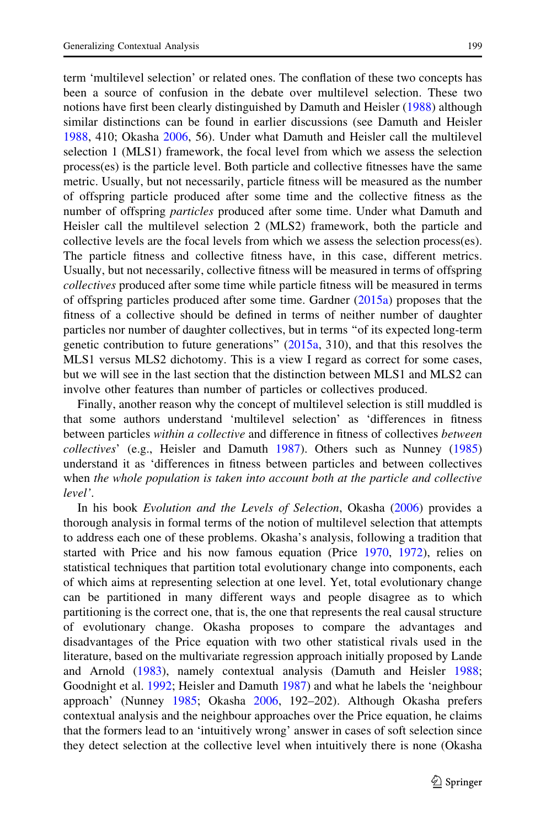term 'multilevel selection' or related ones. The conflation of these two concepts has been a source of confusion in the debate over multilevel selection. These two notions have first been clearly distinguished by Damuth and Heisler ([1988\)](#page-19-0) although similar distinctions can be found in earlier discussions (see Damuth and Heisler [1988,](#page-19-0) 410; Okasha [2006](#page-19-0), 56). Under what Damuth and Heisler call the multilevel selection 1 (MLS1) framework, the focal level from which we assess the selection process(es) is the particle level. Both particle and collective fitnesses have the same metric. Usually, but not necessarily, particle fitness will be measured as the number of offspring particle produced after some time and the collective fitness as the number of offspring *particles* produced after some time. Under what Damuth and Heisler call the multilevel selection 2 (MLS2) framework, both the particle and collective levels are the focal levels from which we assess the selection process(es). The particle fitness and collective fitness have, in this case, different metrics. Usually, but not necessarily, collective fitness will be measured in terms of offspring collectives produced after some time while particle fitness will be measured in terms of offspring particles produced after some time. Gardner [\(2015a\)](#page-19-0) proposes that the fitness of a collective should be defined in terms of neither number of daughter particles nor number of daughter collectives, but in terms ''of its expected long-term genetic contribution to future generations"  $(2015a, 310)$  $(2015a, 310)$ , and that this resolves the MLS1 versus MLS2 dichotomy. This is a view I regard as correct for some cases, but we will see in the last section that the distinction between MLS1 and MLS2 can involve other features than number of particles or collectives produced.

Finally, another reason why the concept of multilevel selection is still muddled is that some authors understand 'multilevel selection' as 'differences in fitness between particles within a collective and difference in fitness of collectives between collectives' (e.g., Heisler and Damuth [1987\)](#page-19-0). Others such as Nunney [\(1985](#page-19-0)) understand it as 'differences in fitness between particles and between collectives when the whole population is taken into account both at the particle and collective level'.

In his book *Evolution and the Levels of Selection*, Okasha ([2006](#page-19-0)) provides a thorough analysis in formal terms of the notion of multilevel selection that attempts to address each one of these problems. Okasha's analysis, following a tradition that started with Price and his now famous equation (Price [1970](#page-19-0), [1972\)](#page-19-0), relies on statistical techniques that partition total evolutionary change into components, each of which aims at representing selection at one level. Yet, total evolutionary change can be partitioned in many different ways and people disagree as to which partitioning is the correct one, that is, the one that represents the real causal structure of evolutionary change. Okasha proposes to compare the advantages and disadvantages of the Price equation with two other statistical rivals used in the literature, based on the multivariate regression approach initially proposed by Lande and Arnold [\(1983](#page-19-0)), namely contextual analysis (Damuth and Heisler [1988;](#page-19-0) Goodnight et al. [1992](#page-19-0); Heisler and Damuth [1987\)](#page-19-0) and what he labels the 'neighbour approach' (Nunney [1985;](#page-19-0) Okasha [2006](#page-19-0), 192–202). Although Okasha prefers contextual analysis and the neighbour approaches over the Price equation, he claims that the formers lead to an 'intuitively wrong' answer in cases of soft selection since they detect selection at the collective level when intuitively there is none (Okasha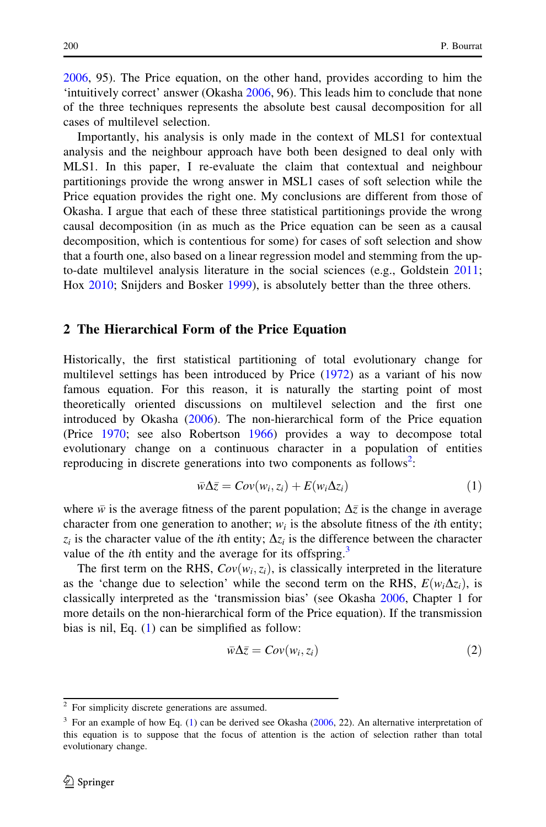<span id="page-3-0"></span>[2006,](#page-19-0) 95). The Price equation, on the other hand, provides according to him the 'intuitively correct' answer (Okasha [2006](#page-19-0), 96). This leads him to conclude that none of the three techniques represents the absolute best causal decomposition for all cases of multilevel selection.

Importantly, his analysis is only made in the context of MLS1 for contextual analysis and the neighbour approach have both been designed to deal only with MLS1. In this paper, I re-evaluate the claim that contextual and neighbour partitionings provide the wrong answer in MSL1 cases of soft selection while the Price equation provides the right one. My conclusions are different from those of Okasha. I argue that each of these three statistical partitionings provide the wrong causal decomposition (in as much as the Price equation can be seen as a causal decomposition, which is contentious for some) for cases of soft selection and show that a fourth one, also based on a linear regression model and stemming from the upto-date multilevel analysis literature in the social sciences (e.g., Goldstein [2011;](#page-19-0) Hox [2010](#page-19-0); Snijders and Bosker [1999](#page-20-0)), is absolutely better than the three others.

#### 2 The Hierarchical Form of the Price Equation

Historically, the first statistical partitioning of total evolutionary change for multilevel settings has been introduced by Price [\(1972](#page-19-0)) as a variant of his now famous equation. For this reason, it is naturally the starting point of most theoretically oriented discussions on multilevel selection and the first one introduced by Okasha ([2006\)](#page-19-0). The non-hierarchical form of the Price equation (Price [1970](#page-19-0); see also Robertson [1966\)](#page-19-0) provides a way to decompose total evolutionary change on a continuous character in a population of entities reproducing in discrete generations into two components as follows<sup>2</sup>:

$$
\bar{w}\Delta \bar{z} = Cov(w_i, z_i) + E(w_i \Delta z_i)
$$
\n(1)

where  $\bar{w}$  is the average fitness of the parent population;  $\Delta \bar{z}$  is the change in average character from one generation to another;  $w_i$  is the absolute fitness of the *i*th entity;  $z_i$  is the character value of the *i*th entity;  $\Delta z_i$  is the difference between the character value of the *i*th entity and the average for its offspring.<sup>3</sup>

The first term on the RHS,  $Cov(w_i, z_i)$ , is classically interpreted in the literature as the 'change due to selection' while the second term on the RHS,  $E(w_i\Delta z_i)$ , is classically interpreted as the 'transmission bias' (see Okasha [2006](#page-19-0), Chapter 1 for more details on the non-hierarchical form of the Price equation). If the transmission bias is nil, Eq. (1) can be simplified as follow:

$$
\bar{w}\Delta \bar{z} = Cov(w_i, z_i)
$$
\n<sup>(2)</sup>

<sup>2</sup> For simplicity discrete generations are assumed.

 $3$  For an example of how Eq. (1) can be derived see Okasha ([2006](#page-19-0), 22). An alternative interpretation of this equation is to suppose that the focus of attention is the action of selection rather than total evolutionary change.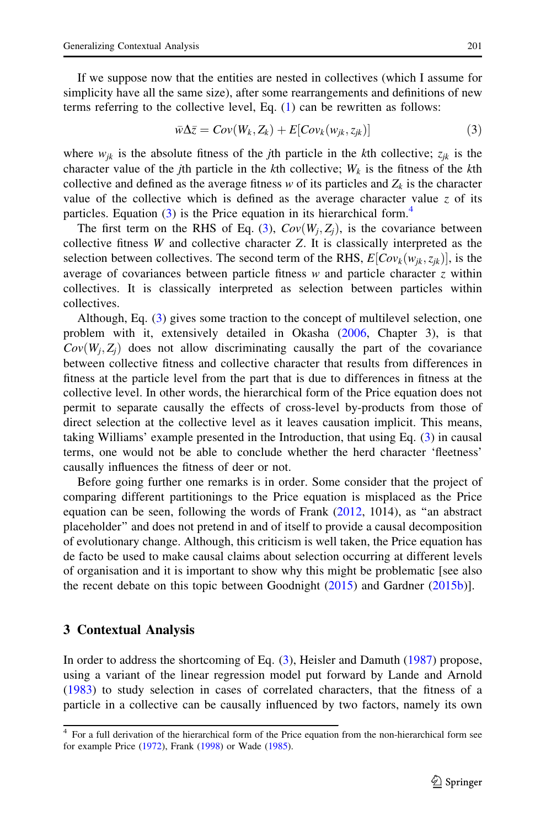<span id="page-4-0"></span>If we suppose now that the entities are nested in collectives (which I assume for simplicity have all the same size), after some rearrangements and definitions of new terms referring to the collective level, Eq. ([1\)](#page-3-0) can be rewritten as follows:

$$
\bar{w}\Delta \bar{z} = Cov(W_k, Z_k) + E[Cov_k(w_{jk}, z_{jk})]
$$
\n(3)

where  $w_{ik}$  is the absolute fitness of the *j*th particle in the *k*th collective;  $z_{ik}$  is the character value of the jth particle in the kth collective;  $W_k$  is the fitness of the kth collective and defined as the average fitness w of its particles and  $Z_k$  is the character value of the collective which is defined as the average character value  $z$  of its particles. Equation  $(3)$  is the Price equation in its hierarchical form.<sup>4</sup>

The first term on the RHS of Eq. (3),  $Cov(W_i, Z_i)$ , is the covariance between collective fitness  $W$  and collective character  $Z$ . It is classically interpreted as the selection between collectives. The second term of the RHS,  $E[Cov_k(w_{ik}, z_{ik})]$ , is the average of covariances between particle fitness  $w$  and particle character  $z$  within collectives. It is classically interpreted as selection between particles within collectives.

Although, Eq. (3) gives some traction to the concept of multilevel selection, one problem with it, extensively detailed in Okasha [\(2006](#page-19-0), Chapter 3), is that  $Cov(W_i, Z_i)$  does not allow discriminating causally the part of the covariance between collective fitness and collective character that results from differences in fitness at the particle level from the part that is due to differences in fitness at the collective level. In other words, the hierarchical form of the Price equation does not permit to separate causally the effects of cross-level by-products from those of direct selection at the collective level as it leaves causation implicit. This means, taking Williams' example presented in the Introduction, that using Eq. (3) in causal terms, one would not be able to conclude whether the herd character 'fleetness' causally influences the fitness of deer or not.

Before going further one remarks is in order. Some consider that the project of comparing different partitionings to the Price equation is misplaced as the Price equation can be seen, following the words of Frank [\(2012](#page-19-0), 1014), as ''an abstract placeholder'' and does not pretend in and of itself to provide a causal decomposition of evolutionary change. Although, this criticism is well taken, the Price equation has de facto be used to make causal claims about selection occurring at different levels of organisation and it is important to show why this might be problematic [see also the recent debate on this topic between Goodnight ([2015](#page-19-0)) and Gardner [\(2015b](#page-19-0))].

# 3 Contextual Analysis

In order to address the shortcoming of Eq. (3), Heisler and Damuth [\(1987](#page-19-0)) propose, using a variant of the linear regression model put forward by Lande and Arnold [\(1983](#page-19-0)) to study selection in cases of correlated characters, that the fitness of a particle in a collective can be causally influenced by two factors, namely its own

<sup>&</sup>lt;sup>4</sup> For a full derivation of the hierarchical form of the Price equation from the non-hierarchical form see for example Price [\(1972](#page-19-0)), Frank [\(1998](#page-19-0)) or Wade ([1985\)](#page-20-0).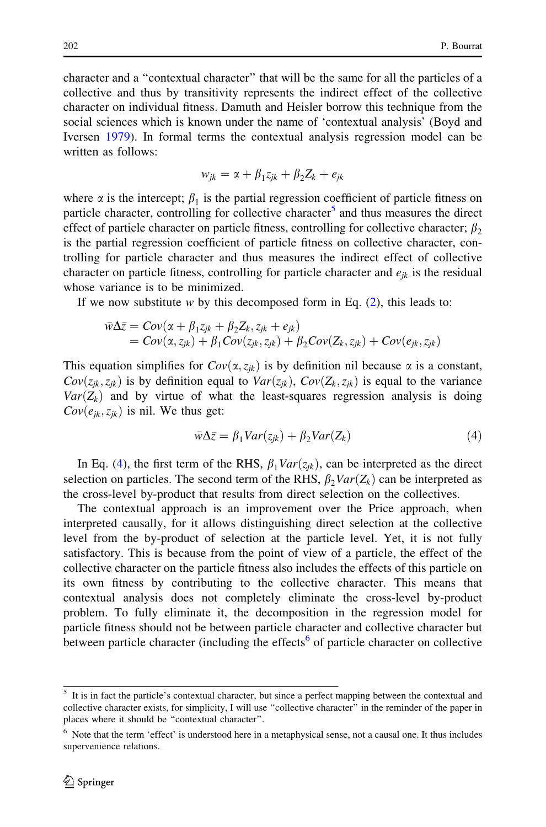<span id="page-5-0"></span>character and a ''contextual character'' that will be the same for all the particles of a collective and thus by transitivity represents the indirect effect of the collective character on individual fitness. Damuth and Heisler borrow this technique from the social sciences which is known under the name of 'contextual analysis' (Boyd and Iversen [1979\)](#page-19-0). In formal terms the contextual analysis regression model can be written as follows:

$$
w_{jk} = \alpha + \beta_1 z_{jk} + \beta_2 Z_k + e_{jk}
$$

where  $\alpha$  is the intercept;  $\beta_1$  is the partial regression coefficient of particle fitness on particle character, controlling for collective character<sup>5</sup> and thus measures the direct effect of particle character on particle fitness, controlling for collective character;  $\beta_2$ is the partial regression coefficient of particle fitness on collective character, controlling for particle character and thus measures the indirect effect of collective character on particle fitness, controlling for particle character and  $e_{ik}$  is the residual whose variance is to be minimized.

If we now substitute w by this decomposed form in Eq.  $(2)$  $(2)$ , this leads to:

$$
\overline{w}\Delta \overline{z} = Cov(\alpha + \beta_1 z_{jk} + \beta_2 Z_k, z_{jk} + e_{jk})
$$
  
=  $Cov(\alpha, z_{jk}) + \beta_1 Cov(z_{jk}, z_{jk}) + \beta_2 Cov(Z_k, z_{jk}) + Cov(e_{jk}, z_{jk})$ 

This equation simplifies for  $Cov(\alpha, z_{ik})$  is by definition nil because  $\alpha$  is a constant,  $Cov(z_{jk}, z_{jk})$  is by definition equal to  $Var(z_{jk})$ ,  $Cov(Z_k, z_{jk})$  is equal to the variance  $Var(Z_k)$  and by virtue of what the least-squares regression analysis is doing  $Cov(e_{ik}, z_{ik})$  is nil. We thus get:

$$
\bar{w}\Delta\bar{z} = \beta_1 Var(z_{jk}) + \beta_2 Var(Z_k)
$$
\n(4)

In Eq. (4), the first term of the RHS,  $\beta_1Var(z_{ik})$ , can be interpreted as the direct selection on particles. The second term of the RHS,  $\beta_2Var(Z_k)$  can be interpreted as the cross-level by-product that results from direct selection on the collectives.

The contextual approach is an improvement over the Price approach, when interpreted causally, for it allows distinguishing direct selection at the collective level from the by-product of selection at the particle level. Yet, it is not fully satisfactory. This is because from the point of view of a particle, the effect of the collective character on the particle fitness also includes the effects of this particle on its own fitness by contributing to the collective character. This means that contextual analysis does not completely eliminate the cross-level by-product problem. To fully eliminate it, the decomposition in the regression model for particle fitness should not be between particle character and collective character but between particle character (including the effects<sup>6</sup> of particle character on collective

<sup>&</sup>lt;sup>5</sup> It is in fact the particle's contextual character, but since a perfect mapping between the contextual and collective character exists, for simplicity, I will use ''collective character'' in the reminder of the paper in places where it should be ''contextual character''.

<sup>6</sup> Note that the term 'effect' is understood here in a metaphysical sense, not a causal one. It thus includes supervenience relations.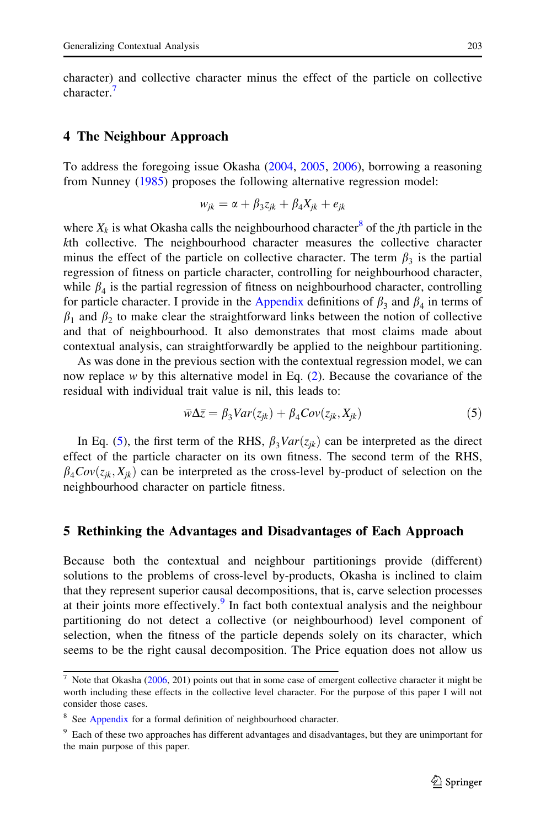character) and collective character minus the effect of the particle on collective character.<sup>7</sup>

# 4 The Neighbour Approach

To address the foregoing issue Okasha [\(2004](#page-19-0), [2005,](#page-19-0) [2006\)](#page-19-0), borrowing a reasoning from Nunney [\(1985\)](#page-19-0) proposes the following alternative regression model:

$$
w_{jk} = \alpha + \beta_3 z_{jk} + \beta_4 X_{jk} + e_{jk}
$$

where  $X_k$  is what Okasha calls the neighbourhood character<sup>8</sup> of the *j*th particle in the kth collective. The neighbourhood character measures the collective character minus the effect of the particle on collective character. The term  $\beta_3$  is the partial regression of fitness on particle character, controlling for neighbourhood character, while  $\beta_4$  is the partial regression of fitness on neighbourhood character, controlling for particle character. I provide in the [Appendix](#page-18-0) definitions of  $\beta_3$  and  $\beta_4$  in terms of  $\beta_1$  and  $\beta_2$  to make clear the straightforward links between the notion of collective and that of neighbourhood. It also demonstrates that most claims made about contextual analysis, can straightforwardly be applied to the neighbour partitioning.

As was done in the previous section with the contextual regression model, we can now replace  $w$  by this alternative model in Eq.  $(2)$  $(2)$ . Because the covariance of the residual with individual trait value is nil, this leads to:

$$
\bar{w}\Delta\bar{z} = \beta_3Var(z_{jk}) + \beta_4Cov(z_{jk}, X_{jk})
$$
\n(5)

In Eq. (5), the first term of the RHS,  $\beta_3Var(z_{jk})$  can be interpreted as the direct effect of the particle character on its own fitness. The second term of the RHS,  $\beta_4Cov(z_{ik}, X_{ik})$  can be interpreted as the cross-level by-product of selection on the neighbourhood character on particle fitness.

### 5 Rethinking the Advantages and Disadvantages of Each Approach

Because both the contextual and neighbour partitionings provide (different) solutions to the problems of cross-level by-products, Okasha is inclined to claim that they represent superior causal decompositions, that is, carve selection processes at their joints more effectively. $9$  In fact both contextual analysis and the neighbour partitioning do not detect a collective (or neighbourhood) level component of selection, when the fitness of the particle depends solely on its character, which seems to be the right causal decomposition. The Price equation does not allow us

<sup>7</sup> Note that Okasha ([2006,](#page-19-0) 201) points out that in some case of emergent collective character it might be worth including these effects in the collective level character. For the purpose of this paper I will not consider those cases.

<sup>8</sup> See [Appendix](#page-18-0) for a formal definition of neighbourhood character.

<sup>&</sup>lt;sup>9</sup> Each of these two approaches has different advantages and disadvantages, but they are unimportant for the main purpose of this paper.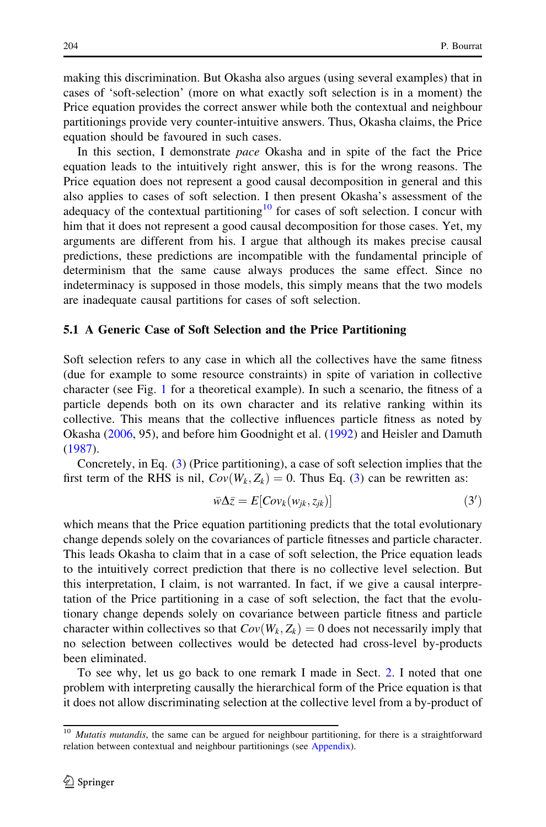<span id="page-7-0"></span>making this discrimination. But Okasha also argues (using several examples) that in cases of 'soft-selection' (more on what exactly soft selection is in a moment) the Price equation provides the correct answer while both the contextual and neighbour partitionings provide very counter-intuitive answers. Thus, Okasha claims, the Price equation should be favoured in such cases.

In this section, I demonstrate *pace* Okasha and in spite of the fact the Price equation leads to the intuitively right answer, this is for the wrong reasons. The Price equation does not represent a good causal decomposition in general and this also applies to cases of soft selection. I then present Okasha's assessment of the adequacy of the contextual partitioning<sup>10</sup> for cases of soft selection. I concur with him that it does not represent a good causal decomposition for those cases. Yet, my arguments are different from his. I argue that although its makes precise causal predictions, these predictions are incompatible with the fundamental principle of determinism that the same cause always produces the same effect. Since no indeterminacy is supposed in those models, this simply means that the two models are inadequate causal partitions for cases of soft selection.

#### 5.1 A Generic Case of Soft Selection and the Price Partitioning

Soft selection refers to any case in which all the collectives have the same fitness (due for example to some resource constraints) in spite of variation in collective character (see Fig. [1](#page-8-0) for a theoretical example). In such a scenario, the fitness of a particle depends both on its own character and its relative ranking within its collective. This means that the collective influences particle fitness as noted by Okasha ([2006,](#page-19-0) 95), and before him Goodnight et al. ([1992\)](#page-19-0) and Heisler and Damuth [\(1987](#page-19-0)).

Concretely, in Eq. ([3\)](#page-4-0) (Price partitioning), a case of soft selection implies that the first term of the RHS is nil,  $Cov(W_k, Z_k) = 0$ . Thus Eq. ([3\)](#page-4-0) can be rewritten as:

$$
\bar{w}\Delta\bar{z} = E[Cov_k(w_{jk}, z_{jk})]
$$
\n(3')

which means that the Price equation partitioning predicts that the total evolutionary change depends solely on the covariances of particle fitnesses and particle character. This leads Okasha to claim that in a case of soft selection, the Price equation leads to the intuitively correct prediction that there is no collective level selection. But this interpretation, I claim, is not warranted. In fact, if we give a causal interpretation of the Price partitioning in a case of soft selection, the fact that the evolutionary change depends solely on covariance between particle fitness and particle character within collectives so that  $Cov(W_k, Z_k) = 0$  does not necessarily imply that no selection between collectives would be detected had cross-level by-products been eliminated.

To see why, let us go back to one remark I made in Sect. [2](#page-3-0). I noted that one problem with interpreting causally the hierarchical form of the Price equation is that it does not allow discriminating selection at the collective level from a by-product of

<sup>&</sup>lt;sup>10</sup> Mutatis mutandis, the same can be argued for neighbour partitioning, for there is a straightforward relation between contextual and neighbour partitionings (see [Appendix](#page-18-0)).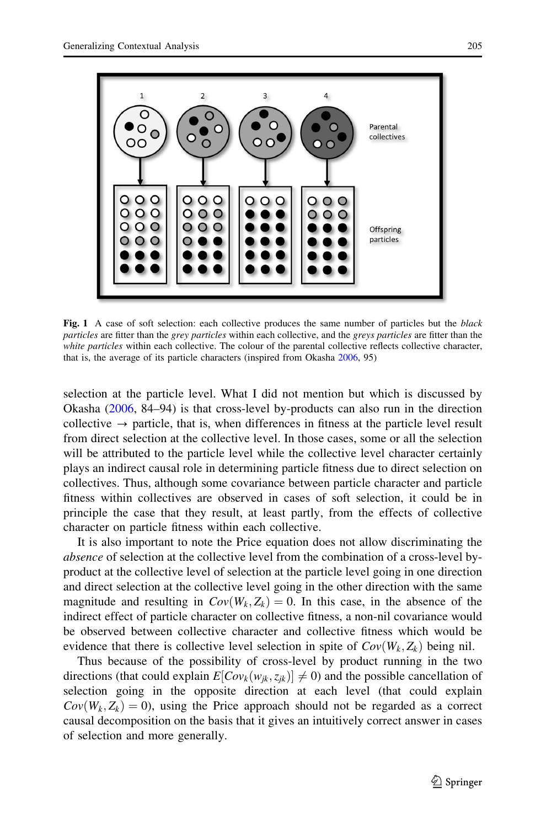<span id="page-8-0"></span>

Fig. 1 A case of soft selection: each collective produces the same number of particles but the black particles are fitter than the grey particles within each collective, and the greys particles are fitter than the white particles within each collective. The colour of the parental collective reflects collective character, that is, the average of its particle characters (inspired from Okasha [2006](#page-19-0), 95)

selection at the particle level. What I did not mention but which is discussed by Okasha ([2006,](#page-19-0) 84–94) is that cross-level by-products can also run in the direction collective  $\rightarrow$  particle, that is, when differences in fitness at the particle level result from direct selection at the collective level. In those cases, some or all the selection will be attributed to the particle level while the collective level character certainly plays an indirect causal role in determining particle fitness due to direct selection on collectives. Thus, although some covariance between particle character and particle fitness within collectives are observed in cases of soft selection, it could be in principle the case that they result, at least partly, from the effects of collective character on particle fitness within each collective.

It is also important to note the Price equation does not allow discriminating the absence of selection at the collective level from the combination of a cross-level byproduct at the collective level of selection at the particle level going in one direction and direct selection at the collective level going in the other direction with the same magnitude and resulting in  $Cov(W_k, Z_k) = 0$ . In this case, in the absence of the indirect effect of particle character on collective fitness, a non-nil covariance would be observed between collective character and collective fitness which would be evidence that there is collective level selection in spite of  $Cov(W_k, Z_k)$  being nil.

Thus because of the possibility of cross-level by product running in the two directions (that could explain  $E[Cov_k(w_{ik},z_{ik})] \neq 0$ ) and the possible cancellation of selection going in the opposite direction at each level (that could explain  $Cov(W_k, Z_k) = 0$ , using the Price approach should not be regarded as a correct causal decomposition on the basis that it gives an intuitively correct answer in cases of selection and more generally.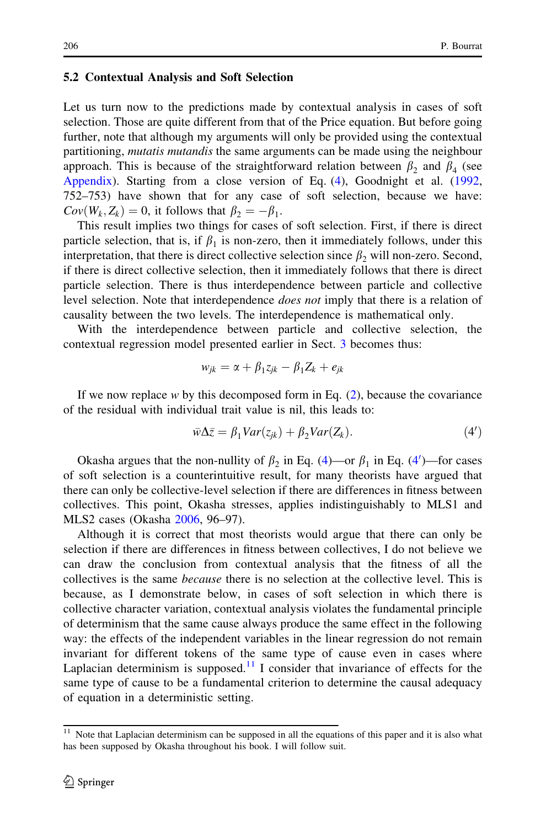#### <span id="page-9-0"></span>5.2 Contextual Analysis and Soft Selection

Let us turn now to the predictions made by contextual analysis in cases of soft selection. Those are quite different from that of the Price equation. But before going further, note that although my arguments will only be provided using the contextual partitioning, *mutatis mutandis* the same arguments can be made using the neighbour approach. This is because of the straightforward relation between  $\beta_2$  and  $\beta_4$  (see [Appendix](#page-18-0)). Starting from a close version of Eq. ([4\)](#page-5-0), Goodnight et al. ([1992,](#page-19-0) 752–753) have shown that for any case of soft selection, because we have:  $Cov(W_k, Z_k) = 0$ , it follows that  $\beta_2 = -\beta_1$ .

This result implies two things for cases of soft selection. First, if there is direct particle selection, that is, if  $\beta_1$  is non-zero, then it immediately follows, under this interpretation, that there is direct collective selection since  $\beta_2$  will non-zero. Second, if there is direct collective selection, then it immediately follows that there is direct particle selection. There is thus interdependence between particle and collective level selection. Note that interdependence *does not* imply that there is a relation of causality between the two levels. The interdependence is mathematical only.

With the interdependence between particle and collective selection, the contextual regression model presented earlier in Sect. [3](#page-4-0) becomes thus:

$$
w_{jk} = \alpha + \beta_1 z_{jk} - \beta_1 Z_k + e_{jk}
$$

If we now replace  $w$  by this decomposed form in Eq.  $(2)$  $(2)$ , because the covariance of the residual with individual trait value is nil, this leads to:

$$
\bar{w}\Delta\bar{z} = \beta_1 Var(z_{jk}) + \beta_2 Var(Z_k). \tag{4'}
$$

Okasha argues that the non-nullity of  $\beta_2$  in Eq. [\(4](#page-5-0))—or  $\beta_1$  in Eq. (4')—for cases of soft selection is a counterintuitive result, for many theorists have argued that there can only be collective-level selection if there are differences in fitness between collectives. This point, Okasha stresses, applies indistinguishably to MLS1 and MLS2 cases (Okasha [2006,](#page-19-0) 96–97).

Although it is correct that most theorists would argue that there can only be selection if there are differences in fitness between collectives, I do not believe we can draw the conclusion from contextual analysis that the fitness of all the collectives is the same because there is no selection at the collective level. This is because, as I demonstrate below, in cases of soft selection in which there is collective character variation, contextual analysis violates the fundamental principle of determinism that the same cause always produce the same effect in the following way: the effects of the independent variables in the linear regression do not remain invariant for different tokens of the same type of cause even in cases where Laplacian determinism is supposed.<sup>11</sup> I consider that invariance of effects for the same type of cause to be a fundamental criterion to determine the causal adequacy of equation in a deterministic setting.

Note that Laplacian determinism can be supposed in all the equations of this paper and it is also what has been supposed by Okasha throughout his book. I will follow suit.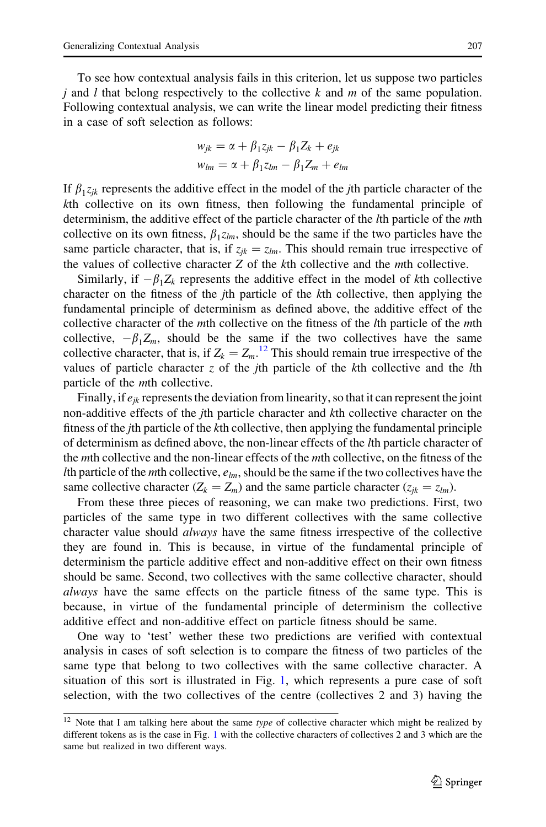To see how contextual analysis fails in this criterion, let us suppose two particles j and l that belong respectively to the collective k and m of the same population. Following contextual analysis, we can write the linear model predicting their fitness in a case of soft selection as follows:

$$
w_{jk} = \alpha + \beta_1 z_{jk} - \beta_1 Z_k + e_{jk}
$$
  

$$
w_{lm} = \alpha + \beta_1 z_{lm} - \beta_1 Z_m + e_{lm}
$$

If  $\beta_1 z_{ik}$  represents the additive effect in the model of the *j*th particle character of the kth collective on its own fitness, then following the fundamental principle of determinism, the additive effect of the particle character of the *l*th particle of the *m*th collective on its own fitness,  $\beta_1 z_{lm}$ , should be the same if the two particles have the same particle character, that is, if  $z_{ik} = z_{lm}$ . This should remain true irrespective of the values of collective character  $Z$  of the kth collective and the mth collective.

Similarly, if  $-\beta_1Z_k$  represents the additive effect in the model of kth collective character on the fitness of the jth particle of the kth collective, then applying the fundamental principle of determinism as defined above, the additive effect of the collective character of the *m*th collective on the fitness of the *l*th particle of the *m*th collective,  $-\beta_1 Z_m$ , should be the same if the two collectives have the same collective character, that is, if  $Z_k = Z_m$ .<sup>12</sup> This should remain true irrespective of the values of particle character  $z$  of the jth particle of the  $k$ th collective and the  $l$ th particle of the mth collective.

Finally, if  $e_{ik}$  represents the deviation from linearity, so that it can represent the joint non-additive effects of the jth particle character and kth collective character on the fitness of the jth particle of the kth collective, then applying the fundamental principle of determinism as defined above, the non-linear effects of the lth particle character of the *mth* collective and the non-linear effects of the *mth* collective, on the fitness of the Ith particle of the *m*th collective,  $e_{lm}$ , should be the same if the two collectives have the same collective character ( $Z_k = Z_m$ ) and the same particle character ( $z_{jk} = z_{lm}$ ).

From these three pieces of reasoning, we can make two predictions. First, two particles of the same type in two different collectives with the same collective character value should *always* have the same fitness irrespective of the collective they are found in. This is because, in virtue of the fundamental principle of determinism the particle additive effect and non-additive effect on their own fitness should be same. Second, two collectives with the same collective character, should always have the same effects on the particle fitness of the same type. This is because, in virtue of the fundamental principle of determinism the collective additive effect and non-additive effect on particle fitness should be same.

One way to 'test' wether these two predictions are verified with contextual analysis in cases of soft selection is to compare the fitness of two particles of the same type that belong to two collectives with the same collective character. A situation of this sort is illustrated in Fig. [1](#page-8-0), which represents a pure case of soft selection, with the two collectives of the centre (collectives 2 and 3) having the

 $12$  Note that I am talking here about the same type of collective character which might be realized by different tokens as is the case in Fig. [1](#page-8-0) with the collective characters of collectives 2 and 3 which are the same but realized in two different ways.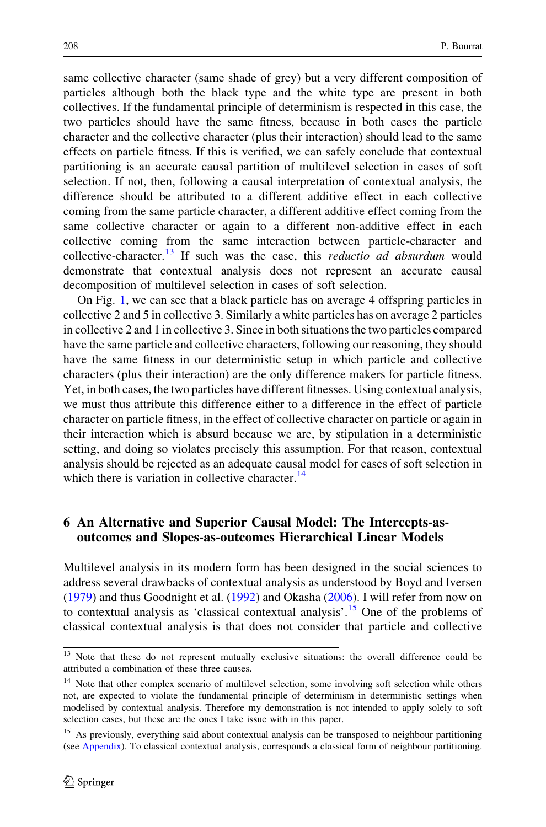<span id="page-11-0"></span>same collective character (same shade of grey) but a very different composition of particles although both the black type and the white type are present in both collectives. If the fundamental principle of determinism is respected in this case, the two particles should have the same fitness, because in both cases the particle character and the collective character (plus their interaction) should lead to the same effects on particle fitness. If this is verified, we can safely conclude that contextual partitioning is an accurate causal partition of multilevel selection in cases of soft selection. If not, then, following a causal interpretation of contextual analysis, the difference should be attributed to a different additive effect in each collective coming from the same particle character, a different additive effect coming from the same collective character or again to a different non-additive effect in each collective coming from the same interaction between particle-character and collective-character.<sup>13</sup> If such was the case, this *reductio ad absurdum* would demonstrate that contextual analysis does not represent an accurate causal decomposition of multilevel selection in cases of soft selection.

On Fig. [1](#page-8-0), we can see that a black particle has on average 4 offspring particles in collective 2 and 5 in collective 3. Similarly a white particles has on average 2 particles in collective 2 and 1 in collective 3. Since in both situations the two particles compared have the same particle and collective characters, following our reasoning, they should have the same fitness in our deterministic setup in which particle and collective characters (plus their interaction) are the only difference makers for particle fitness. Yet, in both cases, the two particles have different fitnesses. Using contextual analysis, we must thus attribute this difference either to a difference in the effect of particle character on particle fitness, in the effect of collective character on particle or again in their interaction which is absurd because we are, by stipulation in a deterministic setting, and doing so violates precisely this assumption. For that reason, contextual analysis should be rejected as an adequate causal model for cases of soft selection in which there is variation in collective character.<sup>14</sup>

# 6 An Alternative and Superior Causal Model: The Intercepts-asoutcomes and Slopes-as-outcomes Hierarchical Linear Models

Multilevel analysis in its modern form has been designed in the social sciences to address several drawbacks of contextual analysis as understood by Boyd and Iversen [\(1979](#page-19-0)) and thus Goodnight et al. ([1992\)](#page-19-0) and Okasha ([2006\)](#page-19-0). I will refer from now on to contextual analysis as 'classical contextual analysis'.<sup>15</sup> One of the problems of classical contextual analysis is that does not consider that particle and collective

<sup>&</sup>lt;sup>13</sup> Note that these do not represent mutually exclusive situations: the overall difference could be attributed a combination of these three causes.

<sup>&</sup>lt;sup>14</sup> Note that other complex scenario of multilevel selection, some involving soft selection while others not, are expected to violate the fundamental principle of determinism in deterministic settings when modelised by contextual analysis. Therefore my demonstration is not intended to apply solely to soft selection cases, but these are the ones I take issue with in this paper.

<sup>&</sup>lt;sup>15</sup> As previously, everything said about contextual analysis can be transposed to neighbour partitioning (see [Appendix\)](#page-18-0). To classical contextual analysis, corresponds a classical form of neighbour partitioning.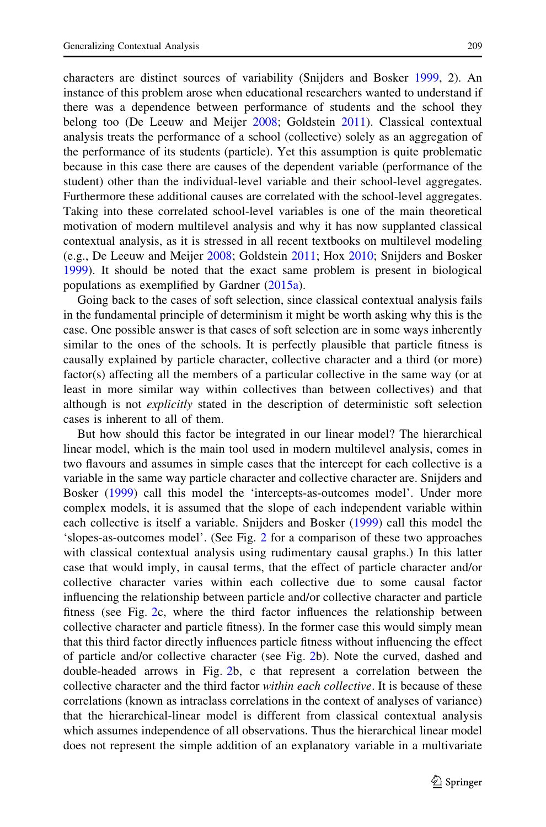characters are distinct sources of variability (Snijders and Bosker [1999,](#page-20-0) 2). An instance of this problem arose when educational researchers wanted to understand if there was a dependence between performance of students and the school they belong too (De Leeuw and Meijer [2008](#page-19-0); Goldstein [2011\)](#page-19-0). Classical contextual analysis treats the performance of a school (collective) solely as an aggregation of the performance of its students (particle). Yet this assumption is quite problematic because in this case there are causes of the dependent variable (performance of the student) other than the individual-level variable and their school-level aggregates. Furthermore these additional causes are correlated with the school-level aggregates. Taking into these correlated school-level variables is one of the main theoretical motivation of modern multilevel analysis and why it has now supplanted classical contextual analysis, as it is stressed in all recent textbooks on multilevel modeling (e.g., De Leeuw and Meijer [2008;](#page-19-0) Goldstein [2011;](#page-19-0) Hox [2010;](#page-19-0) Snijders and Bosker [1999\)](#page-20-0). It should be noted that the exact same problem is present in biological populations as exemplified by Gardner ([2015a](#page-19-0)).

Going back to the cases of soft selection, since classical contextual analysis fails in the fundamental principle of determinism it might be worth asking why this is the case. One possible answer is that cases of soft selection are in some ways inherently similar to the ones of the schools. It is perfectly plausible that particle fitness is causally explained by particle character, collective character and a third (or more) factor(s) affecting all the members of a particular collective in the same way (or at least in more similar way within collectives than between collectives) and that although is not explicitly stated in the description of deterministic soft selection cases is inherent to all of them.

But how should this factor be integrated in our linear model? The hierarchical linear model, which is the main tool used in modern multilevel analysis, comes in two flavours and assumes in simple cases that the intercept for each collective is a variable in the same way particle character and collective character are. Snijders and Bosker ([1999](#page-20-0)) call this model the 'intercepts-as-outcomes model'. Under more complex models, it is assumed that the slope of each independent variable within each collective is itself a variable. Snijders and Bosker ([1999\)](#page-20-0) call this model the 'slopes-as-outcomes model'. (See Fig. [2](#page-13-0) for a comparison of these two approaches with classical contextual analysis using rudimentary causal graphs.) In this latter case that would imply, in causal terms, that the effect of particle character and/or collective character varies within each collective due to some causal factor influencing the relationship between particle and/or collective character and particle fitness (see Fig. [2](#page-13-0)c, where the third factor influences the relationship between collective character and particle fitness). In the former case this would simply mean that this third factor directly influences particle fitness without influencing the effect of particle and/or collective character (see Fig. [2](#page-13-0)b). Note the curved, dashed and double-headed arrows in Fig. [2b](#page-13-0), c that represent a correlation between the collective character and the third factor *within each collective*. It is because of these correlations (known as intraclass correlations in the context of analyses of variance) that the hierarchical-linear model is different from classical contextual analysis which assumes independence of all observations. Thus the hierarchical linear model does not represent the simple addition of an explanatory variable in a multivariate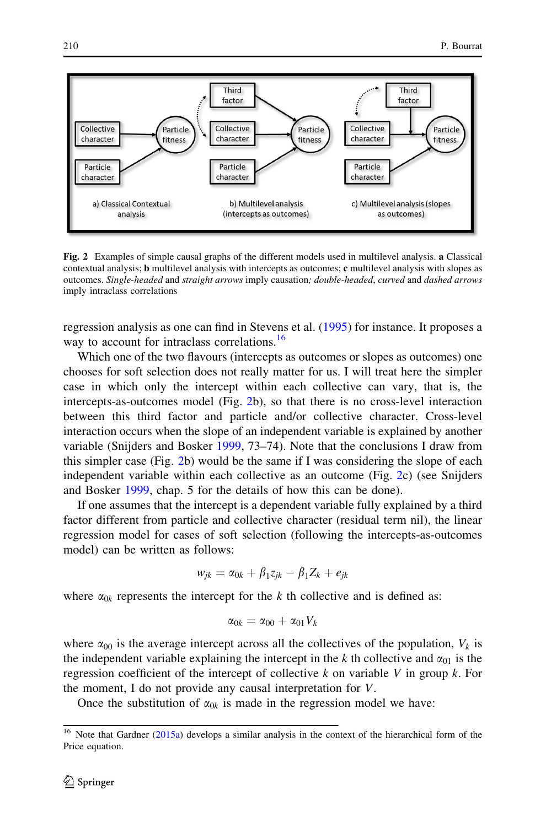<span id="page-13-0"></span>

Fig. 2 Examples of simple causal graphs of the different models used in multilevel analysis. a Classical contextual analysis; b multilevel analysis with intercepts as outcomes; c multilevel analysis with slopes as outcomes. Single-headed and straight arrows imply causation; double-headed, curved and dashed arrows imply intraclass correlations

regression analysis as one can find in Stevens et al. ([1995\)](#page-20-0) for instance. It proposes a way to account for intraclass correlations.<sup>16</sup>

Which one of the two flavours (intercepts as outcomes or slopes as outcomes) one chooses for soft selection does not really matter for us. I will treat here the simpler case in which only the intercept within each collective can vary, that is, the intercepts-as-outcomes model (Fig. 2b), so that there is no cross-level interaction between this third factor and particle and/or collective character. Cross-level interaction occurs when the slope of an independent variable is explained by another variable (Snijders and Bosker [1999](#page-20-0), 73–74). Note that the conclusions I draw from this simpler case (Fig. 2b) would be the same if I was considering the slope of each independent variable within each collective as an outcome (Fig. 2c) (see Snijders and Bosker [1999](#page-20-0), chap. 5 for the details of how this can be done).

If one assumes that the intercept is a dependent variable fully explained by a third factor different from particle and collective character (residual term nil), the linear regression model for cases of soft selection (following the intercepts-as-outcomes model) can be written as follows:

$$
w_{jk} = \alpha_{0k} + \beta_1 z_{jk} - \beta_1 Z_k + e_{jk}
$$

where  $\alpha_{0k}$  represents the intercept for the k th collective and is defined as:

$$
\alpha_{0k}=\alpha_{00}+\alpha_{01}V_k
$$

where  $\alpha_{00}$  is the average intercept across all the collectives of the population,  $V_k$  is the independent variable explaining the intercept in the k th collective and  $\alpha_{01}$  is the regression coefficient of the intercept of collective k on variable V in group k. For the moment, I do not provide any causal interpretation for V.

Once the substitution of  $\alpha_{0k}$  is made in the regression model we have:

Note that Gardner [\(2015a\)](#page-19-0) develops a similar analysis in the context of the hierarchical form of the Price equation.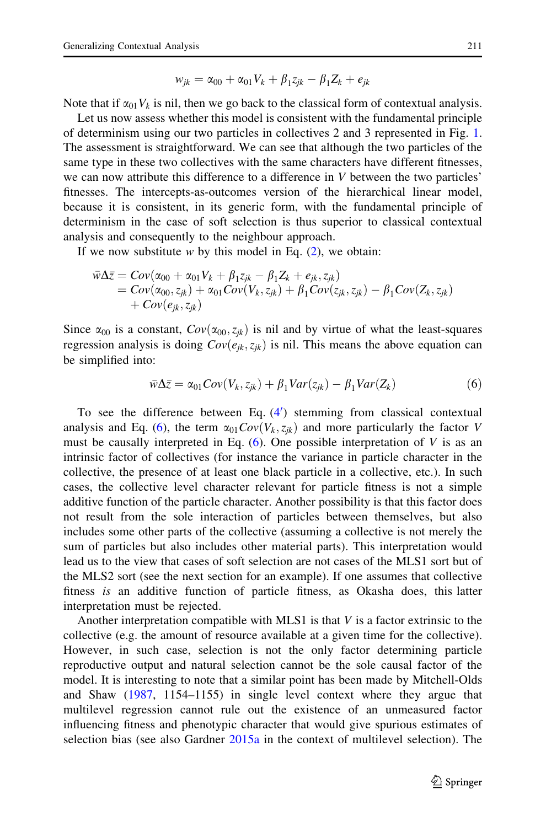$$
w_{jk} = \alpha_{00} + \alpha_{01} V_k + \beta_1 z_{jk} - \beta_1 Z_k + e_{jk}
$$

<span id="page-14-0"></span>Note that if  $\alpha_{01}V_k$  is nil, then we go back to the classical form of contextual analysis.

Let us now assess whether this model is consistent with the fundamental principle of determinism using our two particles in collectives 2 and 3 represented in Fig. [1.](#page-8-0) The assessment is straightforward. We can see that although the two particles of the same type in these two collectives with the same characters have different fitnesses, we can now attribute this difference to a difference in V between the two particles' fitnesses. The intercepts-as-outcomes version of the hierarchical linear model, because it is consistent, in its generic form, with the fundamental principle of determinism in the case of soft selection is thus superior to classical contextual analysis and consequently to the neighbour approach.

If we now substitute  $w$  by this model in Eq. [\(2](#page-3-0)), we obtain:

$$
\overline{w}\Delta \overline{z} = Cov(\alpha_{00} + \alpha_{01} V_k + \beta_1 z_{jk} - \beta_1 Z_k + e_{jk}, z_{jk}) \n= Cov(\alpha_{00}, z_{jk}) + \alpha_{01} Cov(V_k, z_{jk}) + \beta_1 Cov(z_{jk}, z_{jk}) - \beta_1 Cov(Z_k, z_{jk}) \n+ Cov(e_{jk}, z_{jk})
$$

Since  $\alpha_{00}$  is a constant,  $Cov(\alpha_{00}, z_{ik})$  is nil and by virtue of what the least-squares regression analysis is doing  $Cov(e_{ik}, z_{ik})$  is nil. This means the above equation can be simplified into:

$$
\bar{w}\Delta\bar{z} = \alpha_{01}Cov(V_k, z_{jk}) + \beta_1 Var(z_{jk}) - \beta_1 Var(Z_k)
$$
\n(6)

To see the difference between Eq.  $(4')$  $(4')$  $(4')$  stemming from classical contextual analysis and Eq. (6), the term  $\alpha_{01}Cov(V_k, z_{ik})$  and more particularly the factor V must be causally interpreted in Eq.  $(6)$ . One possible interpretation of V is as an intrinsic factor of collectives (for instance the variance in particle character in the collective, the presence of at least one black particle in a collective, etc.). In such cases, the collective level character relevant for particle fitness is not a simple additive function of the particle character. Another possibility is that this factor does not result from the sole interaction of particles between themselves, but also includes some other parts of the collective (assuming a collective is not merely the sum of particles but also includes other material parts). This interpretation would lead us to the view that cases of soft selection are not cases of the MLS1 sort but of the MLS2 sort (see the next section for an example). If one assumes that collective fitness is an additive function of particle fitness, as Okasha does, this latter interpretation must be rejected.

Another interpretation compatible with MLS1 is that  $V$  is a factor extrinsic to the collective (e.g. the amount of resource available at a given time for the collective). However, in such case, selection is not the only factor determining particle reproductive output and natural selection cannot be the sole causal factor of the model. It is interesting to note that a similar point has been made by Mitchell-Olds and Shaw [\(1987](#page-19-0), 1154–1155) in single level context where they argue that multilevel regression cannot rule out the existence of an unmeasured factor influencing fitness and phenotypic character that would give spurious estimates of selection bias (see also Gardner [2015a](#page-19-0) in the context of multilevel selection). The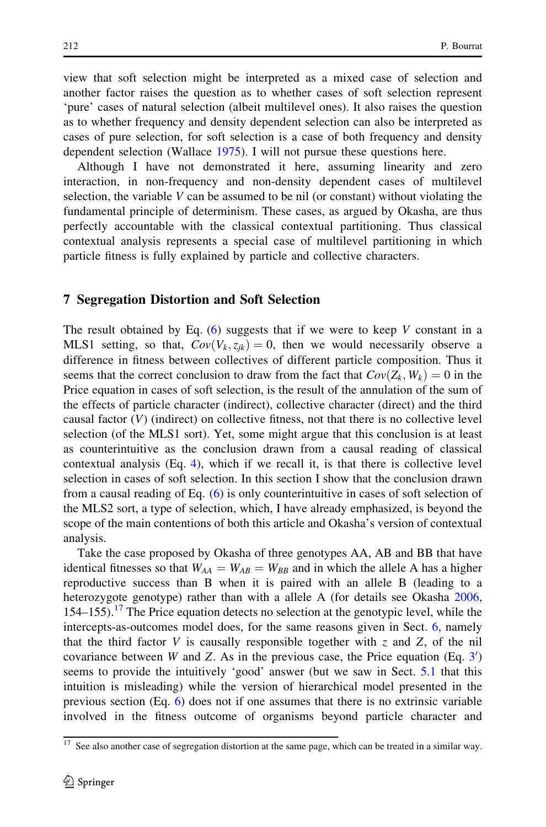view that soft selection might be interpreted as a mixed case of selection and another factor raises the question as to whether cases of soft selection represent 'pure' cases of natural selection (albeit multilevel ones). It also raises the question as to whether frequency and density dependent selection can also be interpreted as cases of pure selection, for soft selection is a case of both frequency and density dependent selection (Wallace [1975](#page-20-0)). I will not pursue these questions here.

Although I have not demonstrated it here, assuming linearity and zero interaction, in non-frequency and non-density dependent cases of multilevel selection, the variable  $V$  can be assumed to be nil (or constant) without violating the fundamental principle of determinism. These cases, as argued by Okasha, are thus perfectly accountable with the classical contextual partitioning. Thus classical contextual analysis represents a special case of multilevel partitioning in which particle fitness is fully explained by particle and collective characters.

### 7 Segregation Distortion and Soft Selection

The result obtained by Eq.  $(6)$  $(6)$  suggests that if we were to keep V constant in a MLS1 setting, so that,  $Cov(V_k, z_{ik}) = 0$ , then we would necessarily observe a difference in fitness between collectives of different particle composition. Thus it seems that the correct conclusion to draw from the fact that  $Cov(Z_k, W_k) = 0$  in the Price equation in cases of soft selection, is the result of the annulation of the sum of the effects of particle character (indirect), collective character (direct) and the third causal factor  $(V)$  (indirect) on collective fitness, not that there is no collective level selection (of the MLS1 sort). Yet, some might argue that this conclusion is at least as counterintuitive as the conclusion drawn from a causal reading of classical contextual analysis (Eq. [4](#page-5-0)), which if we recall it, is that there is collective level selection in cases of soft selection. In this section I show that the conclusion drawn from a causal reading of Eq. ([6\)](#page-14-0) is only counterintuitive in cases of soft selection of the MLS2 sort, a type of selection, which, I have already emphasized, is beyond the scope of the main contentions of both this article and Okasha's version of contextual analysis.

Take the case proposed by Okasha of three genotypes AA, AB and BB that have identical fitnesses so that  $W_{AA} = W_{AB} = W_{BB}$  and in which the allele A has a higher reproductive success than B when it is paired with an allele B (leading to a heterozygote genotype) rather than with a allele A (for details see Okasha [2006,](#page-19-0)  $154-155$ ).<sup>17</sup> The Price equation detects no selection at the genotypic level, while the intercepts-as-outcomes model does, for the same reasons given in Sect. [6,](#page-11-0) namely that the third factor V is causally responsible together with  $z$  and  $\overline{z}$ , of the nil covariance between  $W$  and  $Z$ . As in the previous case, the Price equation (Eq. [3](#page-7-0)') seems to provide the intuitively 'good' answer (but we saw in Sect. [5.1](#page-7-0) that this intuition is misleading) while the version of hierarchical model presented in the previous section (Eq. [6\)](#page-14-0) does not if one assumes that there is no extrinsic variable involved in the fitness outcome of organisms beyond particle character and

<sup>&</sup>lt;sup>17</sup> See also another case of segregation distortion at the same page, which can be treated in a similar way.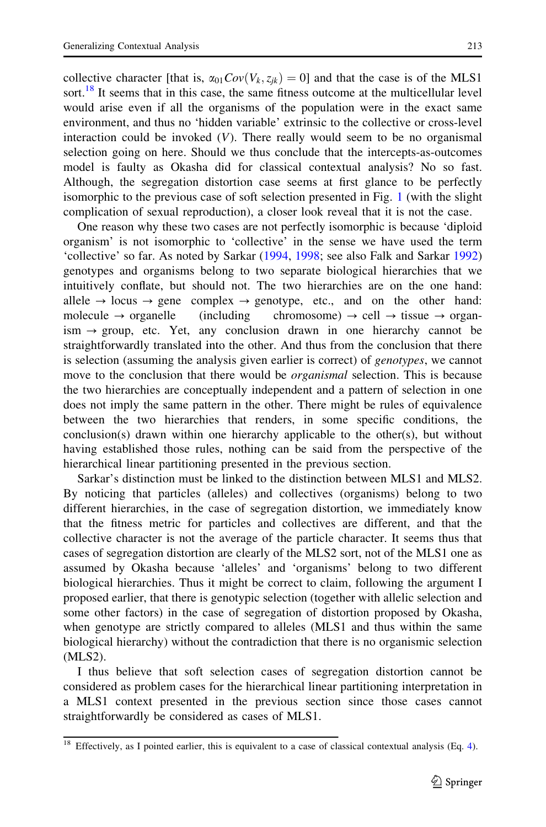collective character [that is,  $\alpha_{01}Cov(V_k, z_{ik}) = 0$ ] and that the case is of the MLS1 sort. $^{18}$  It seems that in this case, the same fitness outcome at the multicellular level would arise even if all the organisms of the population were in the exact same environment, and thus no 'hidden variable' extrinsic to the collective or cross-level interaction could be invoked  $(V)$ . There really would seem to be no organismal selection going on here. Should we thus conclude that the intercepts-as-outcomes model is faulty as Okasha did for classical contextual analysis? No so fast. Although, the segregation distortion case seems at first glance to be perfectly isomorphic to the previous case of soft selection presented in Fig. [1](#page-8-0) (with the slight complication of sexual reproduction), a closer look reveal that it is not the case.

One reason why these two cases are not perfectly isomorphic is because 'diploid organism' is not isomorphic to 'collective' in the sense we have used the term 'collective' so far. As noted by Sarkar [\(1994](#page-19-0), [1998;](#page-19-0) see also Falk and Sarkar [1992\)](#page-19-0) genotypes and organisms belong to two separate biological hierarchies that we intuitively conflate, but should not. The two hierarchies are on the one hand: allele  $\rightarrow$  locus  $\rightarrow$  gene complex  $\rightarrow$  genotype, etc., and on the other hand: molecule  $\rightarrow$  organelle (including chromosome)  $\rightarrow$  cell  $\rightarrow$  tissue  $\rightarrow$  organ $ism \rightarrow group$ , etc. Yet, any conclusion drawn in one hierarchy cannot be straightforwardly translated into the other. And thus from the conclusion that there is selection (assuming the analysis given earlier is correct) of *genotypes*, we cannot move to the conclusion that there would be *organismal* selection. This is because the two hierarchies are conceptually independent and a pattern of selection in one does not imply the same pattern in the other. There might be rules of equivalence between the two hierarchies that renders, in some specific conditions, the conclusion(s) drawn within one hierarchy applicable to the other(s), but without having established those rules, nothing can be said from the perspective of the hierarchical linear partitioning presented in the previous section.

Sarkar's distinction must be linked to the distinction between MLS1 and MLS2. By noticing that particles (alleles) and collectives (organisms) belong to two different hierarchies, in the case of segregation distortion, we immediately know that the fitness metric for particles and collectives are different, and that the collective character is not the average of the particle character. It seems thus that cases of segregation distortion are clearly of the MLS2 sort, not of the MLS1 one as assumed by Okasha because 'alleles' and 'organisms' belong to two different biological hierarchies. Thus it might be correct to claim, following the argument I proposed earlier, that there is genotypic selection (together with allelic selection and some other factors) in the case of segregation of distortion proposed by Okasha, when genotype are strictly compared to alleles (MLS1 and thus within the same biological hierarchy) without the contradiction that there is no organismic selection (MLS2).

I thus believe that soft selection cases of segregation distortion cannot be considered as problem cases for the hierarchical linear partitioning interpretation in a MLS1 context presented in the previous section since those cases cannot straightforwardly be considered as cases of MLS1.

<sup>&</sup>lt;sup>18</sup> Effectively, as I pointed earlier, this is equivalent to a case of classical contextual analysis (Eq. [4](#page-5-0)).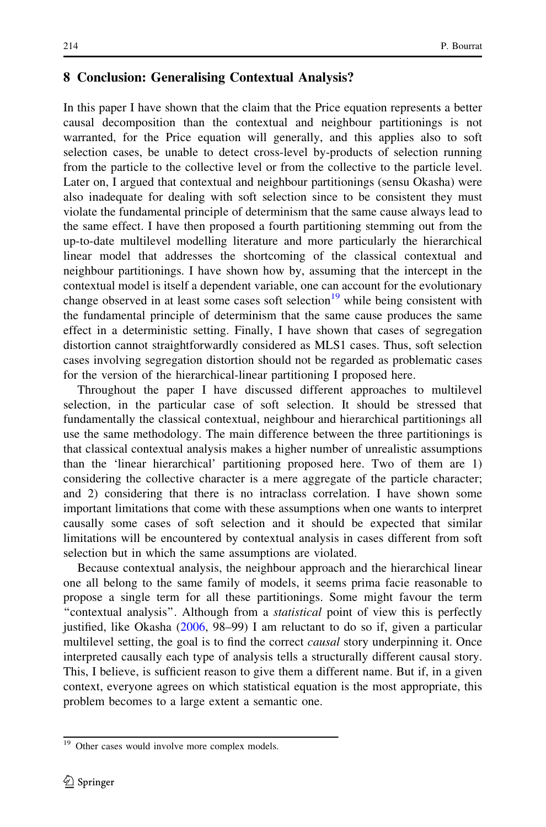# 8 Conclusion: Generalising Contextual Analysis?

In this paper I have shown that the claim that the Price equation represents a better causal decomposition than the contextual and neighbour partitionings is not warranted, for the Price equation will generally, and this applies also to soft selection cases, be unable to detect cross-level by-products of selection running from the particle to the collective level or from the collective to the particle level. Later on, I argued that contextual and neighbour partitionings (sensu Okasha) were also inadequate for dealing with soft selection since to be consistent they must violate the fundamental principle of determinism that the same cause always lead to the same effect. I have then proposed a fourth partitioning stemming out from the up-to-date multilevel modelling literature and more particularly the hierarchical linear model that addresses the shortcoming of the classical contextual and neighbour partitionings. I have shown how by, assuming that the intercept in the contextual model is itself a dependent variable, one can account for the evolutionary change observed in at least some cases soft selection<sup>19</sup> while being consistent with the fundamental principle of determinism that the same cause produces the same effect in a deterministic setting. Finally, I have shown that cases of segregation distortion cannot straightforwardly considered as MLS1 cases. Thus, soft selection cases involving segregation distortion should not be regarded as problematic cases for the version of the hierarchical-linear partitioning I proposed here.

Throughout the paper I have discussed different approaches to multilevel selection, in the particular case of soft selection. It should be stressed that fundamentally the classical contextual, neighbour and hierarchical partitionings all use the same methodology. The main difference between the three partitionings is that classical contextual analysis makes a higher number of unrealistic assumptions than the 'linear hierarchical' partitioning proposed here. Two of them are 1) considering the collective character is a mere aggregate of the particle character; and 2) considering that there is no intraclass correlation. I have shown some important limitations that come with these assumptions when one wants to interpret causally some cases of soft selection and it should be expected that similar limitations will be encountered by contextual analysis in cases different from soft selection but in which the same assumptions are violated.

Because contextual analysis, the neighbour approach and the hierarchical linear one all belong to the same family of models, it seems prima facie reasonable to propose a single term for all these partitionings. Some might favour the term ''contextual analysis''. Although from a statistical point of view this is perfectly justified, like Okasha [\(2006](#page-19-0), 98–99) I am reluctant to do so if, given a particular multilevel setting, the goal is to find the correct *causal* story underpinning it. Once interpreted causally each type of analysis tells a structurally different causal story. This, I believe, is sufficient reason to give them a different name. But if, in a given context, everyone agrees on which statistical equation is the most appropriate, this problem becomes to a large extent a semantic one.

<sup>&</sup>lt;sup>19</sup> Other cases would involve more complex models.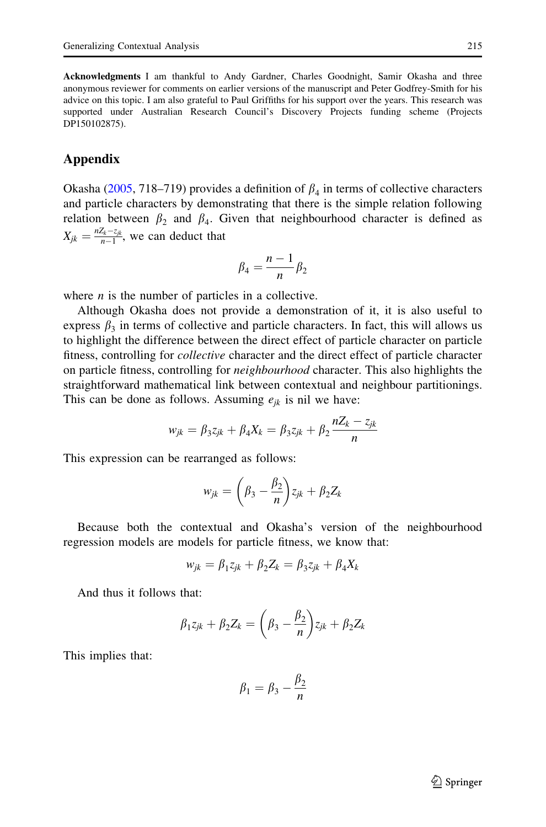<span id="page-18-0"></span>Acknowledgments I am thankful to Andy Gardner, Charles Goodnight, Samir Okasha and three anonymous reviewer for comments on earlier versions of the manuscript and Peter Godfrey-Smith for his advice on this topic. I am also grateful to Paul Griffiths for his support over the years. This research was supported under Australian Research Council's Discovery Projects funding scheme (Projects DP150102875).

# Appendix

Okasha ([2005,](#page-19-0) 718–719) provides a definition of  $\beta_4$  in terms of collective characters and particle characters by demonstrating that there is the simple relation following relation between  $\beta_2$  and  $\beta_4$ . Given that neighbourhood character is defined as  $X_{jk} = \frac{nZ_k - z_{jk}}{n-1}$ , we can deduct that

$$
\beta_4 = \frac{n-1}{n} \beta_2
$$

where  $n$  is the number of particles in a collective.

Although Okasha does not provide a demonstration of it, it is also useful to express  $\beta_3$  in terms of collective and particle characters. In fact, this will allows us to highlight the difference between the direct effect of particle character on particle fitness, controlling for collective character and the direct effect of particle character on particle fitness, controlling for *neighbourhood* character. This also highlights the straightforward mathematical link between contextual and neighbour partitionings. This can be done as follows. Assuming  $e_{jk}$  is nil we have:

$$
w_{jk} = \beta_3 z_{jk} + \beta_4 X_k = \beta_3 z_{jk} + \beta_2 \frac{nZ_k - z_{jk}}{n}
$$

This expression can be rearranged as follows:

$$
w_{jk} = \left(\beta_3 - \frac{\beta_2}{n}\right)z_{jk} + \beta_2 Z_k
$$

Because both the contextual and Okasha's version of the neighbourhood regression models are models for particle fitness, we know that:

$$
w_{jk} = \beta_1 z_{jk} + \beta_2 Z_k = \beta_3 z_{jk} + \beta_4 X_k
$$

And thus it follows that:

$$
\beta_1 z_{jk} + \beta_2 Z_k = \left(\beta_3 - \frac{\beta_2}{n}\right) z_{jk} + \beta_2 Z_k
$$

This implies that:

$$
\beta_1 = \beta_3 - \frac{\beta_2}{n}
$$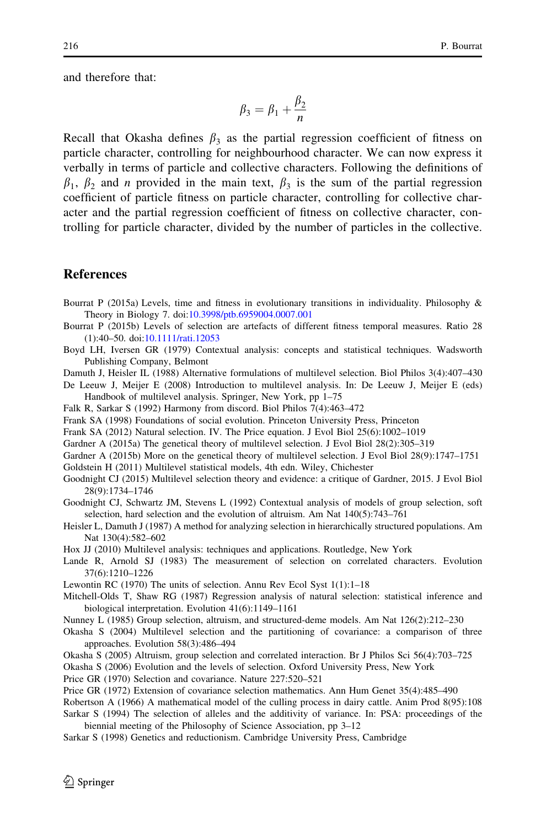<span id="page-19-0"></span>and therefore that:

$$
\beta_3 = \beta_1 + \frac{\beta_2}{n}
$$

Recall that Okasha defines  $\beta_3$  as the partial regression coefficient of fitness on particle character, controlling for neighbourhood character. We can now express it verbally in terms of particle and collective characters. Following the definitions of  $\beta_1$ ,  $\beta_2$  and *n* provided in the main text,  $\beta_3$  is the sum of the partial regression coefficient of particle fitness on particle character, controlling for collective character and the partial regression coefficient of fitness on collective character, controlling for particle character, divided by the number of particles in the collective.

### References

- Bourrat P (2015a) Levels, time and fitness in evolutionary transitions in individuality. Philosophy & Theory in Biology 7. doi:[10.3998/ptb.6959004.0007.001](http://dx.doi.org/10.3998/ptb.6959004.0007.001)
- Bourrat P (2015b) Levels of selection are artefacts of different fitness temporal measures. Ratio 28 (1):40–50. doi[:10.1111/rati.12053](http://dx.doi.org/10.1111/rati.12053)
- Boyd LH, Iversen GR (1979) Contextual analysis: concepts and statistical techniques. Wadsworth Publishing Company, Belmont
- Damuth J, Heisler IL (1988) Alternative formulations of multilevel selection. Biol Philos 3(4):407–430
- De Leeuw J, Meijer E (2008) Introduction to multilevel analysis. In: De Leeuw J, Meijer E (eds) Handbook of multilevel analysis. Springer, New York, pp 1–75
- Falk R, Sarkar S (1992) Harmony from discord. Biol Philos 7(4):463–472
- Frank SA (1998) Foundations of social evolution. Princeton University Press, Princeton
- Frank SA (2012) Natural selection. IV. The Price equation. J Evol Biol 25(6):1002–1019
- Gardner A (2015a) The genetical theory of multilevel selection. J Evol Biol 28(2):305–319
- Gardner A (2015b) More on the genetical theory of multilevel selection. J Evol Biol 28(9):1747–1751
- Goldstein H (2011) Multilevel statistical models, 4th edn. Wiley, Chichester
- Goodnight CJ (2015) Multilevel selection theory and evidence: a critique of Gardner, 2015. J Evol Biol 28(9):1734–1746
- Goodnight CJ, Schwartz JM, Stevens L (1992) Contextual analysis of models of group selection, soft selection, hard selection and the evolution of altruism. Am Nat 140(5):743–761
- Heisler L, Damuth J (1987) A method for analyzing selection in hierarchically structured populations. Am Nat 130(4):582–602
- Hox JJ (2010) Multilevel analysis: techniques and applications. Routledge, New York
- Lande R, Arnold SJ (1983) The measurement of selection on correlated characters. Evolution 37(6):1210–1226
- Lewontin RC (1970) The units of selection. Annu Rev Ecol Syst 1(1):1–18
- Mitchell-Olds T, Shaw RG (1987) Regression analysis of natural selection: statistical inference and biological interpretation. Evolution 41(6):1149–1161
- Nunney L (1985) Group selection, altruism, and structured-deme models. Am Nat 126(2):212–230
- Okasha S (2004) Multilevel selection and the partitioning of covariance: a comparison of three approaches. Evolution 58(3):486–494
- Okasha S (2005) Altruism, group selection and correlated interaction. Br J Philos Sci 56(4):703–725
- Okasha S (2006) Evolution and the levels of selection. Oxford University Press, New York
- Price GR (1970) Selection and covariance. Nature 227:520–521
- Price GR (1972) Extension of covariance selection mathematics. Ann Hum Genet 35(4):485–490
- Robertson A (1966) A mathematical model of the culling process in dairy cattle. Anim Prod 8(95):108
- Sarkar S (1994) The selection of alleles and the additivity of variance. In: PSA: proceedings of the biennial meeting of the Philosophy of Science Association, pp 3–12
- Sarkar S (1998) Genetics and reductionism. Cambridge University Press, Cambridge